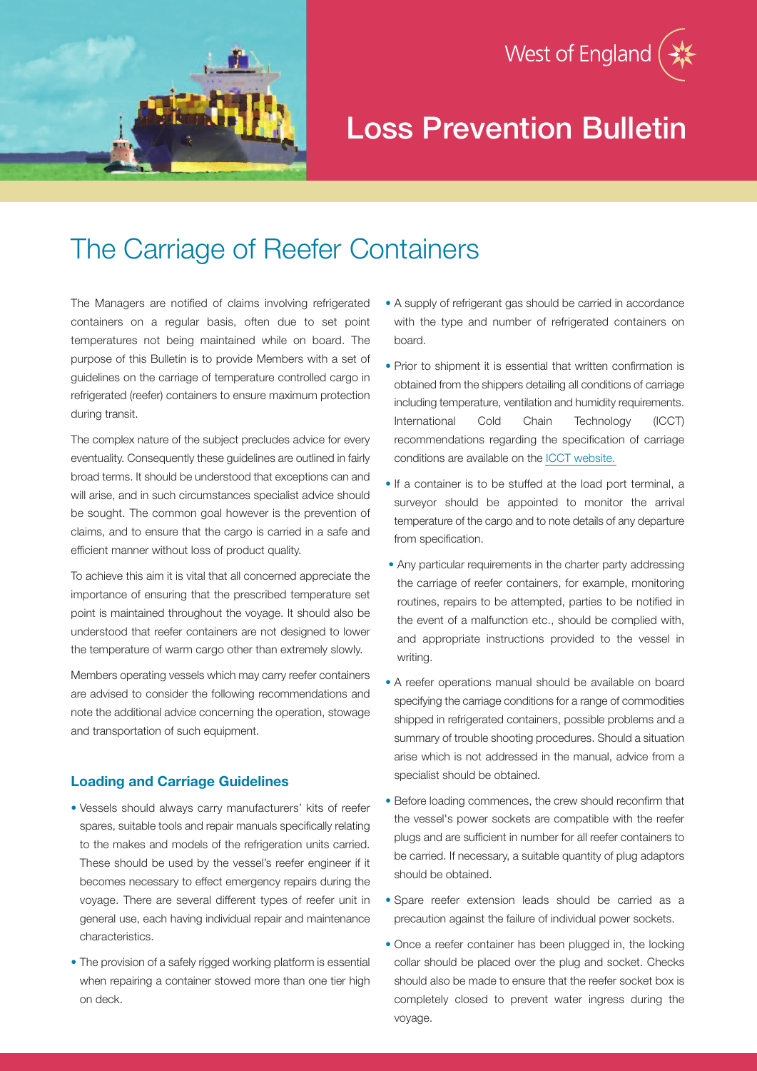

West of England

# The Carriage of Reefer Containers

The Managers are notified of claims involving refrigerated containers on a regular basis, often due to set point temperatures not being maintained while on board. The purpose of this Bulletin is to provide Members with a set of guidelines on the carriage of temperature controlled cargo in refrigerated (reefer) containers to ensure maximum protection during transit.

The complex nature of the subject precludes advice for every eventuality. Consequently these guidelines are outlined in fairly broad terms. It should be understood that exceptions can and will arise, and in such circumstances specialist advice should be sought. The common goal however is the prevention of claims, and to ensure that the cargo is carried in a safe and efficient manner without loss of product quality.

To achieve this aim it is vital that all concerned appreciate the importance of ensuring that the prescribed temperature set point is maintained throughout the voyage. It should also be understood that reefer containers are not designed to lower the temperature of warm cargo other than extremely slowly.

Members operating vessels which may carry reefer containers are advised to consider the following recommendations and note the additional advice concerning the operation, stowage and transportation of such equipment.

### **Loading and Carriage Guidelines**

- Vessels should always carry manufacturers' kits of reefer spares, suitable tools and repair manuals specifically relating to the makes and models of the refrigeration units carried. These should be used by the vessel's reefer engineer if it becomes necessary to effect emergency repairs during the voyage. There are several different types of reefer unit in general use, each having individual repair and maintenance characteristics.
- The provision of a safely rigged working platform is essential when repairing a container stowed more than one tier high on deck.
- A supply of refrigerant gas should be carried in accordance with the type and number of refrigerated containers on board.
- Prior to shipment it is essential that written confirmation is obtained from the shippers detailing all conditions of carriage including temperature, ventilation and humidity requirements. International Cold Chain Technology (ICCT) recommendations regarding the specification of carriage conditions are available on the ICCT [website.](http://www.crtech.co.uk/pages/ICCT/carriage-guidelines.asp)
- If a container is to be stuffed at the load port terminal, a surveyor should be appointed to monitor the arrival temperature of the cargo and to note details of any departure from specification.
- Any particular requirements in the charter party addressing the carriage of reefer containers, for example, monitoring routines, repairs to be attempted, parties to be notified in the event of a malfunction etc., should be complied with, and appropriate instructions provided to the vessel in writing.
- A reefer operations manual should be available on board specifying the carriage conditions for a range of commodities shipped in refrigerated containers, possible problems and a summary of trouble shooting procedures. Should a situation arise which is not addressed in the manual, advice from a specialist should be obtained.
- Before loading commences, the crew should reconfirm that the vessel's power sockets are compatible with the reefer plugs and are sufficient in number for all reefer containers to be carried. If necessary, a suitable quantity of plug adaptors should be obtained.
- Spare reefer extension leads should be carried as a precaution against the failure of individual power sockets.
- Once a reefer container has been plugged in, the locking collar should be placed over the plug and socket. Checks should also be made to ensure that the reefer socket box is completely closed to prevent water ingress during the voyage.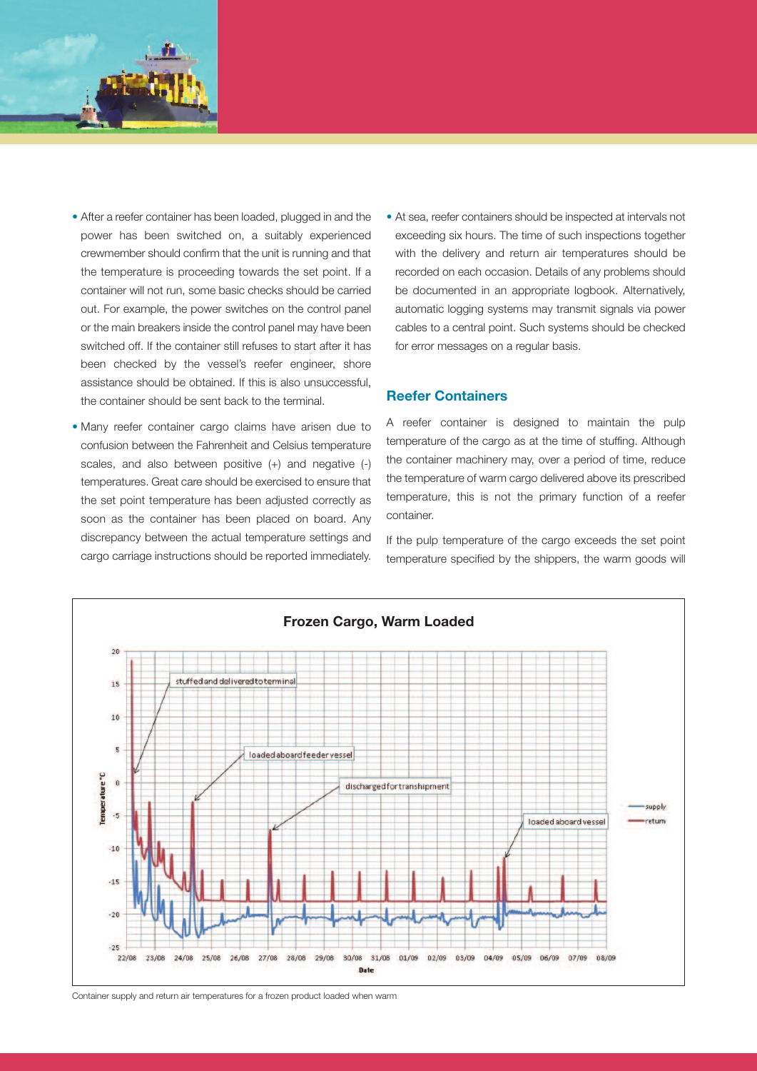

- After a reefer container has been loaded, plugged in and the power has been switched on, a suitably experienced crewmember should confirm that the unit is running and that the temperature is proceeding towards the set point. If a container will not run, some basic checks should be carried out. For example, the power switches on the control panel or the main breakers inside the control panel may have been switched off. If the container still refuses to start after it has been checked by the vessel's reefer engineer, shore assistance should be obtained. If this is also unsuccessful, the container should be sent back to the terminal.
- Many reefer container cargo claims have arisen due to confusion between the Fahrenheit and Celsius temperature scales, and also between positive (+) and negative (-) temperatures. Great care should be exercised to ensure that the set point temperature has been adjusted correctly as soon as the container has been placed on board. Any discrepancy between the actual temperature settings and cargo carriage instructions should be reported immediately.
- At sea, reefer containers should be inspected at intervals not exceeding six hours. The time of such inspections together with the delivery and return air temperatures should be recorded on each occasion. Details of any problems should be documented in an appropriate logbook. Alternatively, automatic logging systems may transmit signals via power cables to a central point. Such systems should be checked for error messages on a regular basis.

# **Reefer Containers**

A reefer container is designed to maintain the pulp temperature of the cargo as at the time of stuffing. Although the container machinery may, over a period of time, reduce the temperature of warm cargo delivered above its prescribed temperature, this is not the primary function of a reefer container.

If the pulp temperature of the cargo exceeds the set point temperature specified by the shippers, the warm goods will



Container supply and return air temperatures for a frozen product loaded when warm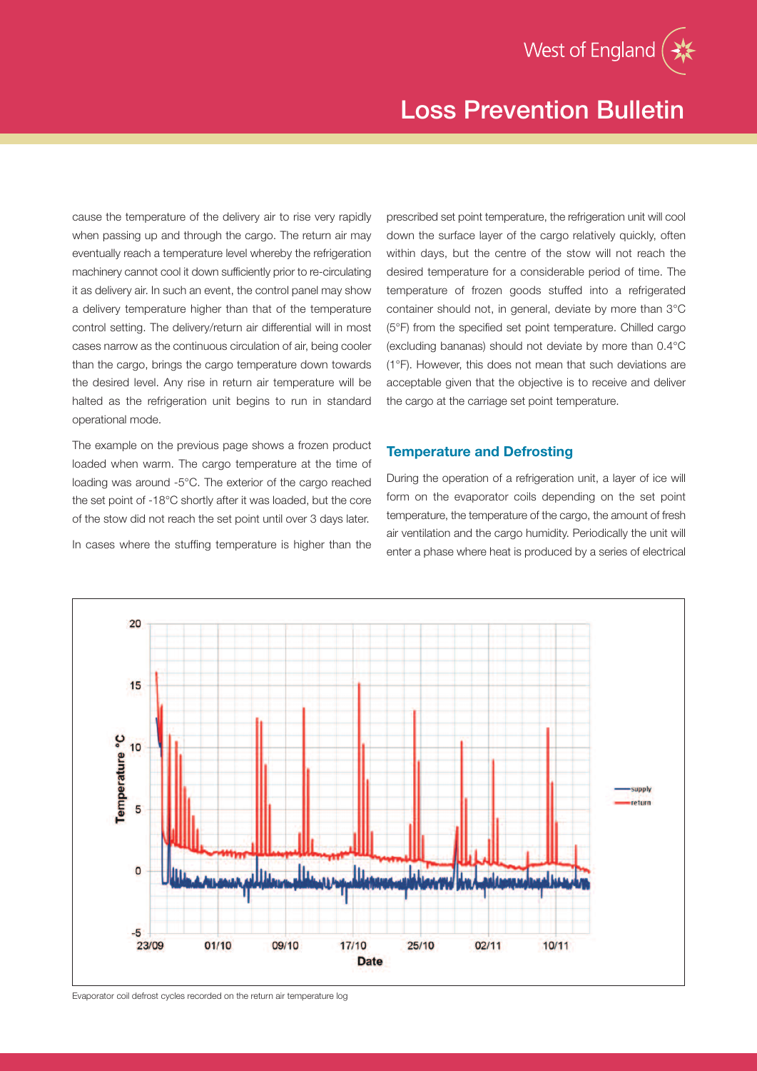cause the temperature of the delivery air to rise very rapidly when passing up and through the cargo. The return air may eventually reach a temperature level whereby the refrigeration machinery cannot cool it down sufficiently prior to re-circulating it as delivery air. In such an event, the control panel may show a delivery temperature higher than that of the temperature control setting. The delivery/return air differential will in most cases narrow as the continuous circulation of air, being cooler than the cargo, brings the cargo temperature down towards the desired level. Any rise in return air temperature will be halted as the refrigeration unit begins to run in standard operational mode.

The example on the previous page shows a frozen product loaded when warm. The cargo temperature at the time of loading was around -5°C. The exterior of the cargo reached the set point of -18°C shortly after it was loaded, but the core of the stow did not reach the set point until over 3 days later.

In cases where the stuffing temperature is higher than the

prescribed set point temperature, the refrigeration unit will cool down the surface layer of the cargo relatively quickly, often within days, but the centre of the stow will not reach the desired temperature for a considerable period of time. The temperature of frozen goods stuffed into a refrigerated container should not, in general, deviate by more than 3°C (5°F) from the specified set point temperature. Chilled cargo (excluding bananas) should not deviate by more than 0.4°C (1°F). However, this does not mean that such deviations are acceptable given that the objective is to receive and deliver the cargo at the carriage set point temperature.

# **Temperature and Defrosting**

During the operation of a refrigeration unit, a layer of ice will form on the evaporator coils depending on the set point temperature, the temperature of the cargo, the amount of fresh air ventilation and the cargo humidity. Periodically the unit will enter a phase where heat is produced by a series of electrical



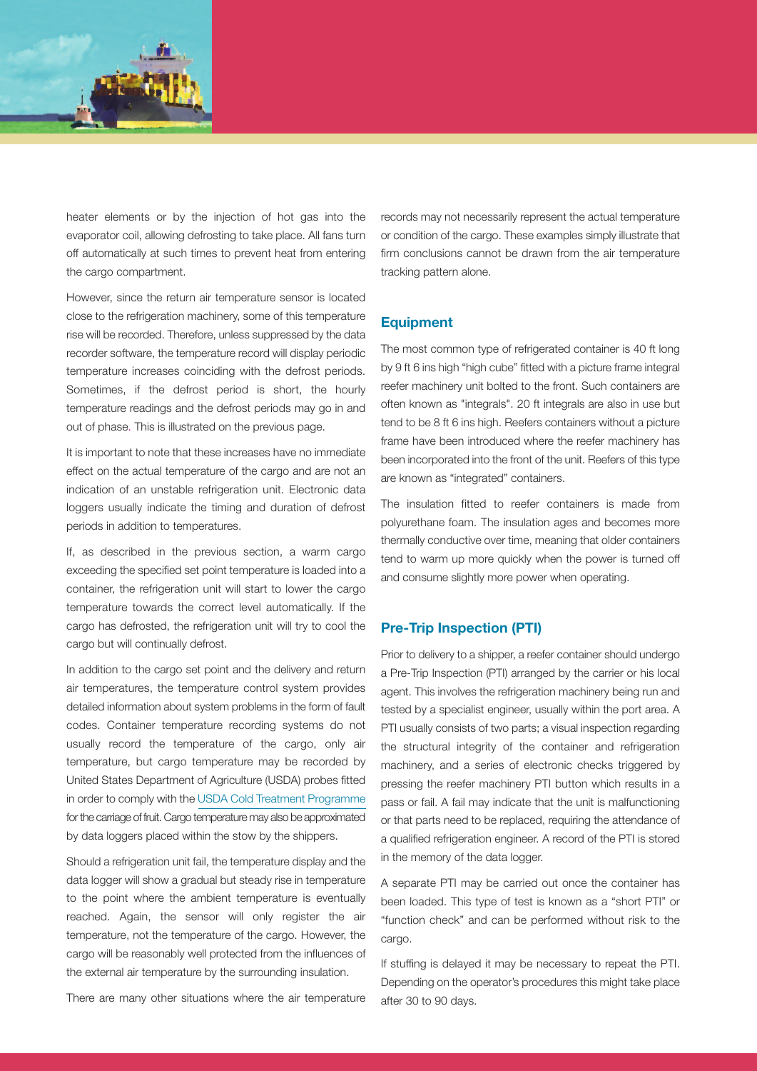

heater elements or by the injection of hot gas into the evaporator coil, allowing defrosting to take place. All fans turn off automatically at such times to prevent heat from entering the cargo compartment.

However, since the return air temperature sensor is located close to the refrigeration machinery, some of this temperature rise will be recorded. Therefore, unless suppressed by the data recorder software, the temperature record will display periodic temperature increases coinciding with the defrost periods. Sometimes, if the defrost period is short, the hourly temperature readings and the defrost periods may go in and out of phase. This is illustrated on the previous page.

It is important to note that these increases have no immediate effect on the actual temperature of the cargo and are not an indication of an unstable refrigeration unit. Electronic data loggers usually indicate the timing and duration of defrost periods in addition to temperatures.

If, as described in the previous section, a warm cargo exceeding the specified set point temperature is loaded into a container, the refrigeration unit will start to lower the cargo temperature towards the correct level automatically. If the cargo has defrosted, the refrigeration unit will try to cool the cargo but will continually defrost.

In addition to the cargo set point and the delivery and return air temperatures, the temperature control system provides detailed information about system problems in the form of fault codes. Container temperature recording systems do not usually record the temperature of the cargo, only air temperature, but cargo temperature may be recorded by United States Department of Agriculture (USDA) probes fitted in order to comply with the USDA Cold Treatment [Programme](http://www.ams.usda.gov/AMSv1.0/ams.fetchTemplateData.do?template=TemplateD&leftNav=AgriculturalTransportation&page=ATFAQColdTreatmentProgram&description=Cold+Treatment+Program) forthe carriage of fruit. Cargo temperature may also be approximated by data loggers placed within the stow by the shippers.

Should a refrigeration unit fail, the temperature display and the data logger will show a gradual but steady rise in temperature to the point where the ambient temperature is eventually reached. Again, the sensor will only register the air temperature, not the temperature of the cargo. However, the cargo will be reasonably well protected from the influences of the external air temperature by the surrounding insulation.

There are many other situations where the air temperature

records may not necessarily represent the actual temperature or condition of the cargo. These examples simply illustrate that firm conclusions cannot be drawn from the air temperature tracking pattern alone.

#### **Equipment**

The most common type of refrigerated container is 40 ft long by 9 ft 6 ins high "high cube" fitted with a picture frame integral reefer machinery unit bolted to the front. Such containers are often known as "integrals". 20 ft integrals are also in use but tend to be 8 ft 6 ins high. Reefers containers without a picture frame have been introduced where the reefer machinery has been incorporated into the front of the unit. Reefers of this type are known as "integrated" containers.

The insulation fitted to reefer containers is made from polyurethane foam. The insulation ages and becomes more thermally conductive over time, meaning that older containers tend to warm up more quickly when the power is turned off and consume slightly more power when operating.

### **Pre-Trip Inspection (PTI)**

Prior to delivery to a shipper, a reefer container should undergo a Pre-Trip Inspection (PTI) arranged by the carrier or his local agent. This involves the refrigeration machinery being run and tested by a specialist engineer, usually within the port area. A PTI usually consists of two parts; a visual inspection regarding the structural integrity of the container and refrigeration machinery, and a series of electronic checks triggered by pressing the reefer machinery PTI button which results in a pass or fail. A fail may indicate that the unit is malfunctioning or that parts need to be replaced, requiring the attendance of a qualified refrigeration engineer. A record of the PTI is stored in the memory of the data logger.

A separate PTI may be carried out once the container has been loaded. This type of test is known as a "short PTI" or "function check" and can be performed without risk to the cargo.

If stuffing is delayed it may be necessary to repeat the PTI. Depending on the operator's procedures this might take place after 30 to 90 days.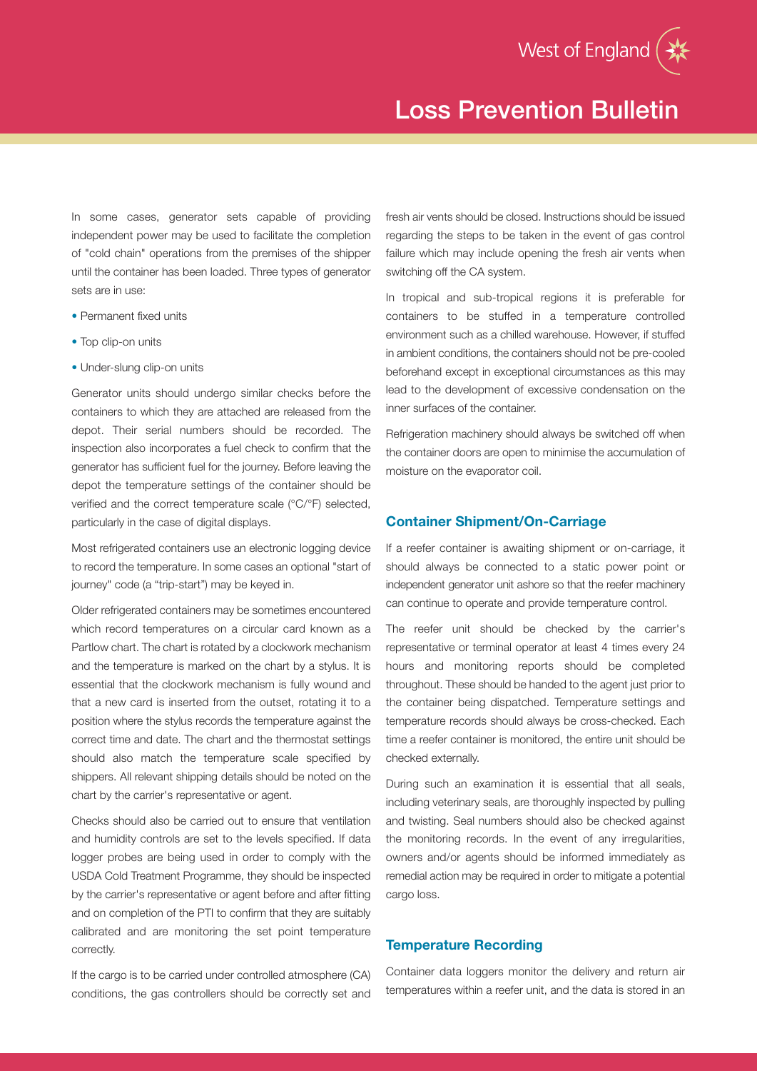

In some cases, generator sets capable of providing independent power may be used to facilitate the completion of "cold chain" operations from the premises of the shipper until the container has been loaded. Three types of generator sets are in use:

- Permanent fixed units
- Top clip-on units
- Under-slung clip-on units

Generator units should undergo similar checks before the containers to which they are attached are released from the depot. Their serial numbers should be recorded. The inspection also incorporates a fuel check to confirm that the generator has sufficient fuel for the journey. Before leaving the depot the temperature settings of the container should be verified and the correct temperature scale (°C/°F) selected, particularly in the case of digital displays.

Most refrigerated containers use an electronic logging device to record the temperature. In some cases an optional "start of journey" code (a "trip-start") may be keyed in.

Older refrigerated containers may be sometimes encountered which record temperatures on a circular card known as a Partlow chart. The chart is rotated by a clockwork mechanism and the temperature is marked on the chart by a stylus. It is essential that the clockwork mechanism is fully wound and that a new card is inserted from the outset, rotating it to a position where the stylus records the temperature against the correct time and date. The chart and the thermostat settings should also match the temperature scale specified by shippers. All relevant shipping details should be noted on the chart by the carrier's representative or agent.

Checks should also be carried out to ensure that ventilation and humidity controls are set to the levels specified. If data logger probes are being used in order to comply with the USDA Cold Treatment Programme, they should be inspected by the carrier's representative or agent before and after fitting and on completion of the PTI to confirm that they are suitably calibrated and are monitoring the set point temperature correctly.

If the cargo is to be carried under controlled atmosphere (CA) conditions, the gas controllers should be correctly set and

fresh air vents should be closed. Instructions should be issued regarding the steps to be taken in the event of gas control failure which may include opening the fresh air vents when switching off the CA system.

In tropical and sub-tropical regions it is preferable for containers to be stuffed in a temperature controlled environment such as a chilled warehouse. However, if stuffed in ambient conditions, the containers should not be pre-cooled beforehand except in exceptional circumstances as this may lead to the development of excessive condensation on the inner surfaces of the container.

Refrigeration machinery should always be switched off when the container doors are open to minimise the accumulation of moisture on the evaporator coil.

# **Container Shipment/On-Carriage**

If a reefer container is awaiting shipment or on-carriage, it should always be connected to a static power point or independent generator unit ashore so that the reefer machinery can continue to operate and provide temperature control.

The reefer unit should be checked by the carrier's representative or terminal operator at least 4 times every 24 hours and monitoring reports should be completed throughout. These should be handed to the agent just prior to the container being dispatched. Temperature settings and temperature records should always be cross-checked. Each time a reefer container is monitored, the entire unit should be checked externally.

During such an examination it is essential that all seals, including veterinary seals, are thoroughly inspected by pulling and twisting. Seal numbers should also be checked against the monitoring records. In the event of any irregularities, owners and/or agents should be informed immediately as remedial action may be required in order to mitigate a potential cargo loss.

### **Temperature Recording**

Container data loggers monitor the delivery and return air temperatures within a reefer unit, and the data is stored in an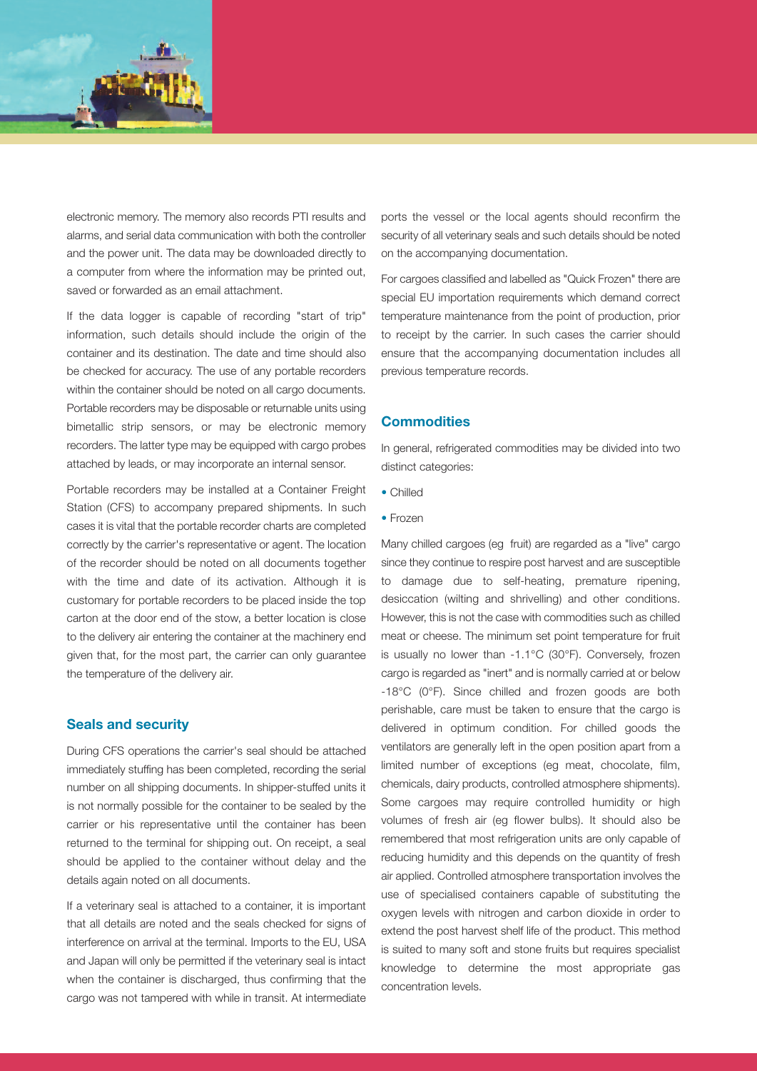

electronic memory. The memory also records PTI results and alarms, and serial data communication with both the controller and the power unit. The data may be downloaded directly to a computer from where the information may be printed out, saved or forwarded as an email attachment.

If the data logger is capable of recording "start of trip" information, such details should include the origin of the container and its destination. The date and time should also be checked for accuracy. The use of any portable recorders within the container should be noted on all cargo documents. Portable recorders may be disposable or returnable units using bimetallic strip sensors, or may be electronic memory recorders. The latter type may be equipped with cargo probes attached by leads, or may incorporate an internal sensor.

Portable recorders may be installed at a Container Freight Station (CFS) to accompany prepared shipments. In such cases it is vital that the portable recorder charts are completed correctly by the carrier's representative or agent. The location of the recorder should be noted on all documents together with the time and date of its activation. Although it is customary for portable recorders to be placed inside the top carton at the door end of the stow, a better location is close to the delivery air entering the container at the machinery end given that, for the most part, the carrier can only guarantee the temperature of the delivery air.

#### **Seals and security**

During CFS operations the carrier's seal should be attached immediately stuffing has been completed, recording the serial number on all shipping documents. In shipper-stuffed units it is not normally possible for the container to be sealed by the carrier or his representative until the container has been returned to the terminal for shipping out. On receipt, a seal should be applied to the container without delay and the details again noted on all documents.

If a veterinary seal is attached to a container, it is important that all details are noted and the seals checked for signs of interference on arrival at the terminal. Imports to the EU, USA and Japan will only be permitted if the veterinary seal is intact when the container is discharged, thus confirming that the cargo was not tampered with while in transit. At intermediate

ports the vessel or the local agents should reconfirm the security of all veterinary seals and such details should be noted on the accompanying documentation.

For cargoes classified and labelled as "Quick Frozen" there are special EU importation requirements which demand correct temperature maintenance from the point of production, prior to receipt by the carrier. In such cases the carrier should ensure that the accompanying documentation includes all previous temperature records.

#### **Commodities**

In general, refrigerated commodities may be divided into two distinct categories:

- Chilled
- Frozen

Many chilled cargoes (eg fruit) are regarded as a "live" cargo since they continue to respire post harvest and are susceptible to damage due to self-heating, premature ripening, desiccation (wilting and shrivelling) and other conditions. However, this is not the case with commodities such as chilled meat or cheese. The minimum set point temperature for fruit is usually no lower than -1.1°C (30°F). Conversely, frozen cargo is regarded as "inert" and is normally carried at or below -18°C (0°F). Since chilled and frozen goods are both perishable, care must be taken to ensure that the cargo is delivered in optimum condition. For chilled goods the ventilators are generally left in the open position apart from a limited number of exceptions (eg meat, chocolate, film, chemicals, dairy products, controlled atmosphere shipments). Some cargoes may require controlled humidity or high volumes of fresh air (eg flower bulbs). It should also be remembered that most refrigeration units are only capable of reducing humidity and this depends on the quantity of fresh air applied. Controlled atmosphere transportation involves the use of specialised containers capable of substituting the oxygen levels with nitrogen and carbon dioxide in order to extend the post harvest shelf life of the product. This method is suited to many soft and stone fruits but requires specialist knowledge to determine the most appropriate gas concentration levels.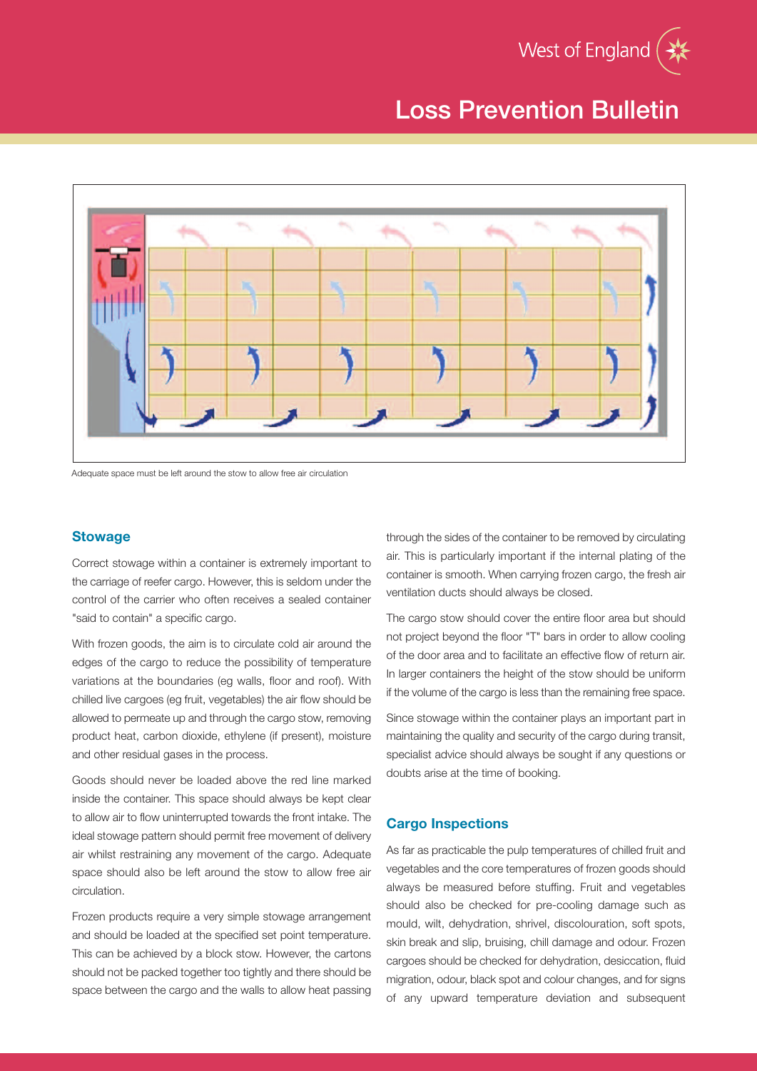



Adequate space must be left around the stow to allow free air circulation

### **Stowage**

Correct stowage within a container is extremely important to the carriage of reefer cargo. However, this is seldom under the control of the carrier who often receives a sealed container "said to contain" a specific cargo.

With frozen goods, the aim is to circulate cold air around the edges of the cargo to reduce the possibility of temperature variations at the boundaries (eg walls, floor and roof). With chilled live cargoes (eg fruit, vegetables) the air flow should be allowed to permeate up and through the cargo stow, removing product heat, carbon dioxide, ethylene (if present), moisture and other residual gases in the process.

Goods should never be loaded above the red line marked inside the container. This space should always be kept clear to allow air to flow uninterrupted towards the front intake. The ideal stowage pattern should permit free movement of delivery air whilst restraining any movement of the cargo. Adequate space should also be left around the stow to allow free air circulation.

Frozen products require a very simple stowage arrangement and should be loaded at the specified set point temperature. This can be achieved by a block stow. However, the cartons should not be packed together too tightly and there should be space between the cargo and the walls to allow heat passing

through the sides of the container to be removed by circulating air. This is particularly important if the internal plating of the container is smooth. When carrying frozen cargo, the fresh air ventilation ducts should always be closed.

The cargo stow should cover the entire floor area but should not project beyond the floor "T" bars in order to allow cooling of the door area and to facilitate an effective flow of return air. In larger containers the height of the stow should be uniform if the volume of the cargo is less than the remaining free space.

Since stowage within the container plays an important part in maintaining the quality and security of the cargo during transit, specialist advice should always be sought if any questions or doubts arise at the time of booking.

### **Cargo Inspections**

As far as practicable the pulp temperatures of chilled fruit and vegetables and the core temperatures of frozen goods should always be measured before stuffing. Fruit and vegetables should also be checked for pre-cooling damage such as mould, wilt, dehydration, shrivel, discolouration, soft spots, skin break and slip, bruising, chill damage and odour. Frozen cargoes should be checked for dehydration, desiccation, fluid migration, odour, black spot and colour changes, and for signs of any upward temperature deviation and subsequent